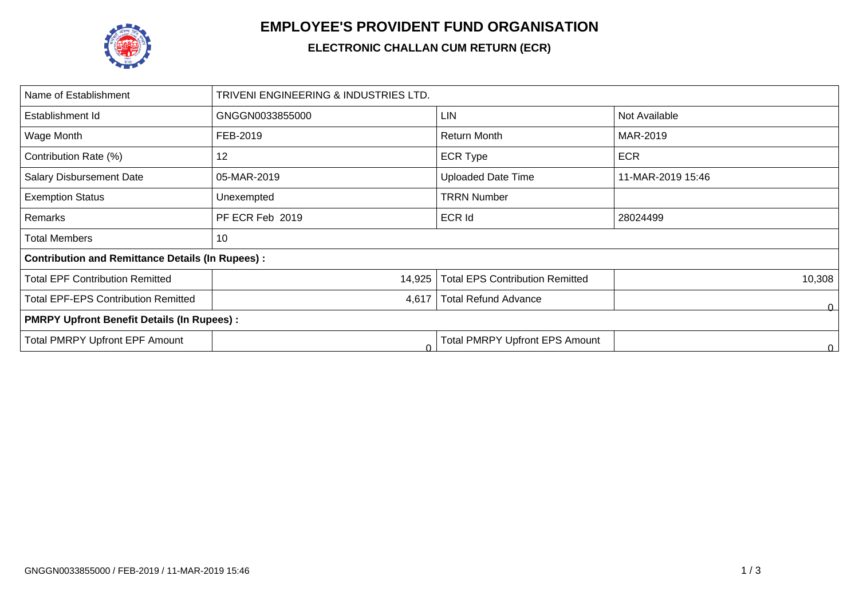

## **EMPLOYEE'S PROVIDENT FUND ORGANISATION**

## **ELECTRONIC CHALLAN CUM RETURN (ECR)**

| TRIVENI ENGINEERING & INDUSTRIES LTD.                   |                                        |                   |  |  |  |  |  |
|---------------------------------------------------------|----------------------------------------|-------------------|--|--|--|--|--|
| GNGGN0033855000                                         | LIN                                    | Not Available     |  |  |  |  |  |
| FEB-2019                                                | Return Month                           | MAR-2019          |  |  |  |  |  |
| 12                                                      | <b>ECR Type</b>                        | <b>ECR</b>        |  |  |  |  |  |
| 05-MAR-2019                                             | <b>Uploaded Date Time</b>              | 11-MAR-2019 15:46 |  |  |  |  |  |
| Unexempted                                              | <b>TRRN Number</b>                     |                   |  |  |  |  |  |
| PF ECR Feb 2019                                         | <b>ECR Id</b>                          | 28024499          |  |  |  |  |  |
| 10                                                      |                                        |                   |  |  |  |  |  |
| <b>Contribution and Remittance Details (In Rupees):</b> |                                        |                   |  |  |  |  |  |
| 14,925                                                  | <b>Total EPS Contribution Remitted</b> | 10,308            |  |  |  |  |  |
| 4,617                                                   | <b>Total Refund Advance</b>            | ٥                 |  |  |  |  |  |
| <b>PMRPY Upfront Benefit Details (In Rupees):</b>       |                                        |                   |  |  |  |  |  |
| C                                                       | <b>Total PMRPY Upfront EPS Amount</b>  | 0.                |  |  |  |  |  |
|                                                         |                                        |                   |  |  |  |  |  |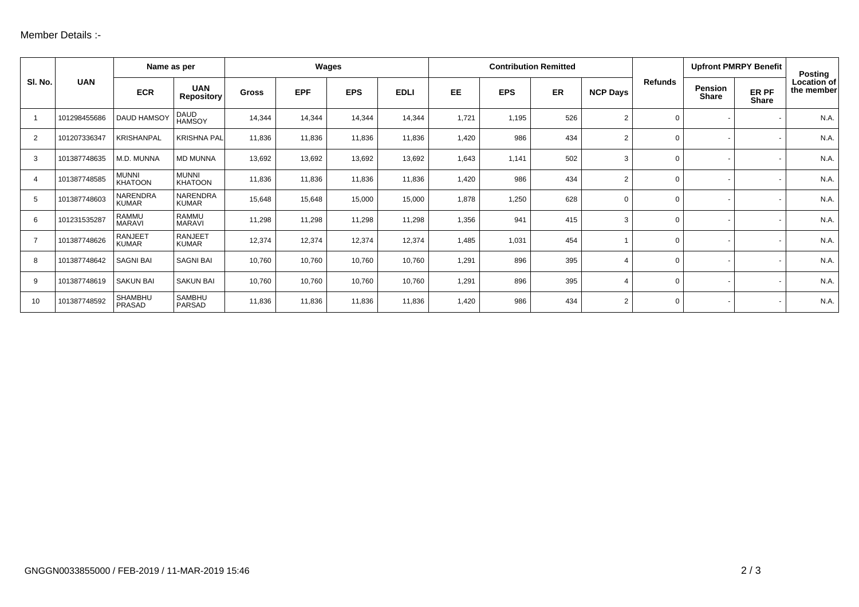| SI. No.        | <b>UAN</b>   | Name as per                    |                                 | Wages        |            |            | <b>Contribution Remitted</b> |       |            |     |                 | <b>Upfront PMRPY Benefit</b> |                         | Posting               |                           |
|----------------|--------------|--------------------------------|---------------------------------|--------------|------------|------------|------------------------------|-------|------------|-----|-----------------|------------------------------|-------------------------|-----------------------|---------------------------|
|                |              | <b>ECR</b>                     | <b>UAN</b><br><b>Repository</b> | <b>Gross</b> | <b>EPF</b> | <b>EPS</b> | <b>EDLI</b>                  | EE    | <b>EPS</b> | ER  | <b>NCP Days</b> | <b>Refunds</b>               | <b>Pension</b><br>Share | ER PF<br><b>Share</b> | Location of<br>the member |
|                | 101298455686 | <b>DAUD HAMSOY</b>             | DAUD<br>HAMSOY                  | 14,344       | 14,344     | 14,344     | 14,344                       | 1,721 | 1,195      | 526 | 2               | $\mathbf 0$                  |                         |                       | N.A.                      |
| $\overline{2}$ | 101207336347 | <b>KRISHANPAL</b>              | <b>KRISHNA PAL</b>              | 11,836       | 11,836     | 11,836     | 11,836                       | 1,420 | 986        | 434 | $\overline{2}$  | $\Omega$                     |                         |                       | N.A.                      |
| 3              | 101387748635 | M.D. MUNNA                     | <b>MD MUNNA</b>                 | 13,692       | 13,692     | 13,692     | 13,692                       | 1,643 | 1,141      | 502 | 3               | $\Omega$                     |                         |                       | N.A.                      |
| 4              | 101387748585 | <b>MUNNI</b><br><b>KHATOON</b> | <b>MUNNI</b><br><b>KHATOON</b>  | 11,836       | 11,836     | 11,836     | 11,836                       | 1,420 | 986        | 434 | $\overline{2}$  | $\Omega$                     |                         |                       | N.A.                      |
| 5              | 101387748603 | NARENDRA<br><b>KUMAR</b>       | NARENDRA<br><b>KUMAR</b>        | 15,648       | 15,648     | 15,000     | 15,000                       | 1,878 | 1,250      | 628 | $\mathbf 0$     | $\Omega$                     |                         |                       | N.A.                      |
| 6              | 101231535287 | RAMMU<br><b>MARAVI</b>         | RAMMU<br><b>MARAVI</b>          | 11,298       | 11,298     | 11,298     | 11,298                       | 1,356 | 941        | 415 | 3               | $\Omega$                     |                         |                       | N.A.                      |
| $\overline{7}$ | 101387748626 | <b>RANJEET</b><br><b>KUMAR</b> | <b>RANJEET</b><br><b>KUMAR</b>  | 12,374       | 12,374     | 12,374     | 12,374                       | 1,485 | 1,031      | 454 |                 | $\Omega$                     |                         |                       | N.A.                      |
| 8              | 101387748642 | <b>SAGNI BAI</b>               | <b>SAGNI BAI</b>                | 10,760       | 10,760     | 10,760     | 10,760                       | 1,291 | 896        | 395 | 4               | $\Omega$                     |                         |                       | N.A.                      |
| 9              | 101387748619 | <b>SAKUN BAI</b>               | <b>SAKUN BAI</b>                | 10,760       | 10,760     | 10,760     | 10,760                       | 1,291 | 896        | 395 | 4               | $\Omega$                     |                         |                       | N.A.                      |
| 10             | 101387748592 | SHAMBHU<br>PRASAD              | <b>SAMBHU</b><br>PARSAD         | 11,836       | 11,836     | 11,836     | 11,836                       | 1,420 | 986        | 434 | $\overline{2}$  | $\Omega$                     |                         |                       | N.A.                      |
|                |              |                                |                                 |              |            |            |                              |       |            |     |                 |                              |                         |                       |                           |